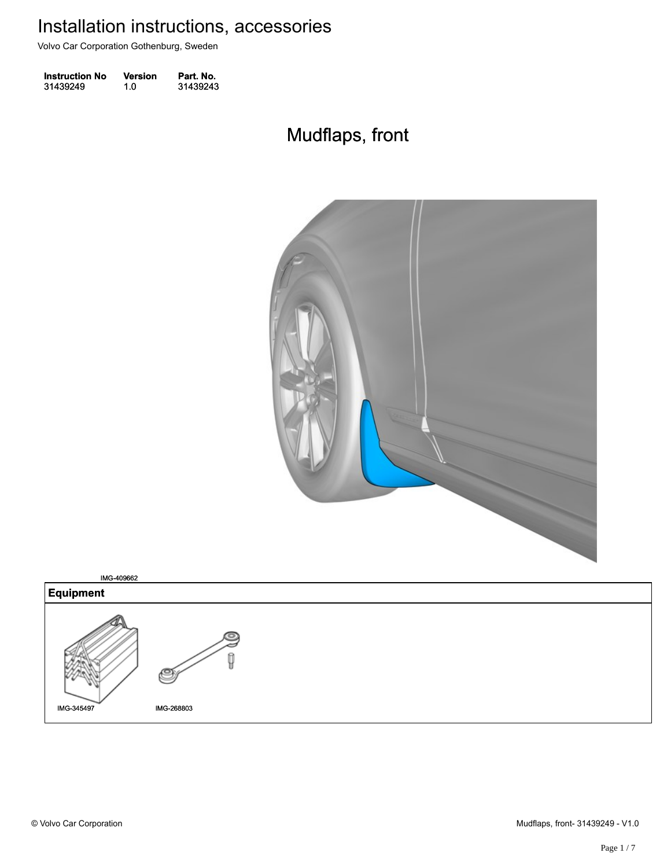Volvo Car Corporation Gothenburg, Sweden

| <b>Instruction No</b> | <b>Version</b> | Part. No. |
|-----------------------|----------------|-----------|
| 31439249              | 1.0            | 31439243  |

# Mudflaps, front Mudflaps, front



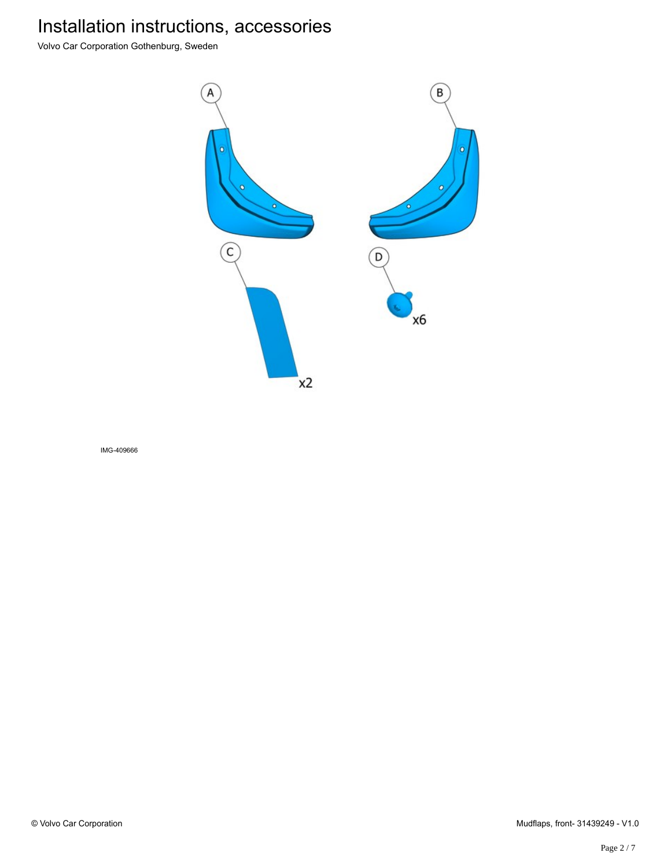Volvo Car Corporation Gothenburg, Sweden



IMG-409666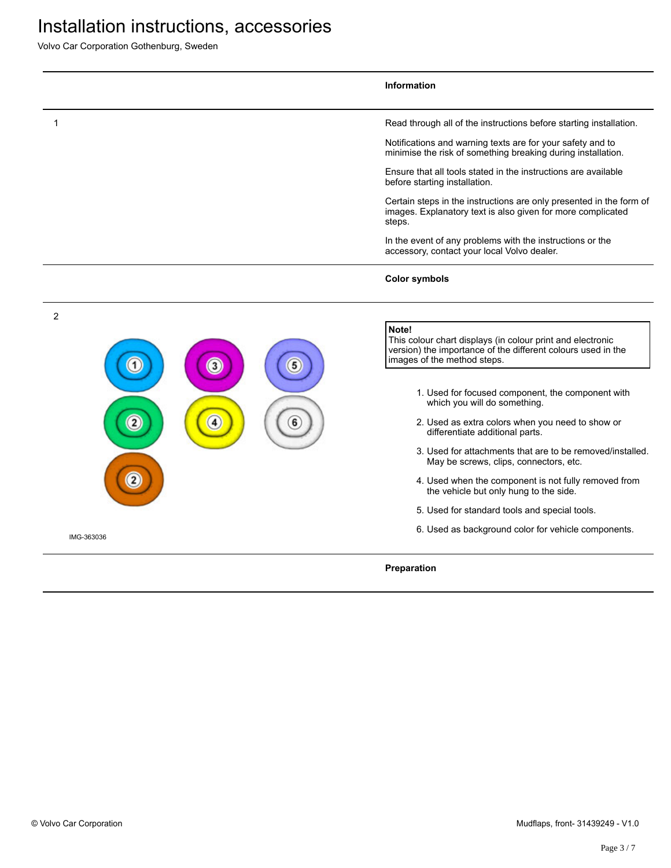Volvo Car Corporation Gothenburg, Sweden

|                | Information                                                                                                                                                        |
|----------------|--------------------------------------------------------------------------------------------------------------------------------------------------------------------|
| 1              | Read through all of the instructions before starting installation.                                                                                                 |
|                | Notifications and warning texts are for your safety and to<br>minimise the risk of something breaking during installation.                                         |
|                | Ensure that all tools stated in the instructions are available<br>before starting installation.                                                                    |
|                | Certain steps in the instructions are only presented in the form of<br>images. Explanatory text is also given for more complicated<br>steps.                       |
|                | In the event of any problems with the instructions or the<br>accessory, contact your local Volvo dealer.                                                           |
|                | <b>Color symbols</b>                                                                                                                                               |
| $\overline{c}$ |                                                                                                                                                                    |
| 3              | Note!<br>This colour chart displays (in colour print and electronic<br>version) the importance of the different colours used in the<br>images of the method steps. |
|                | 1. Used for focused component, the component with<br>which you will do something.                                                                                  |
|                | 2. Used as extra colors when you need to show or<br>differentiate additional parts.                                                                                |
|                | 3. Used for attachments that are to be removed/installed.<br>May be screws, clips, connectors, etc.                                                                |
|                | 4. Used when the component is not fully removed from<br>the vehicle but only hung to the side.                                                                     |
|                | 5. Used for standard tools and special tools.                                                                                                                      |
| IMG-363036     | 6. Used as background color for vehicle components.                                                                                                                |
|                | Preparation                                                                                                                                                        |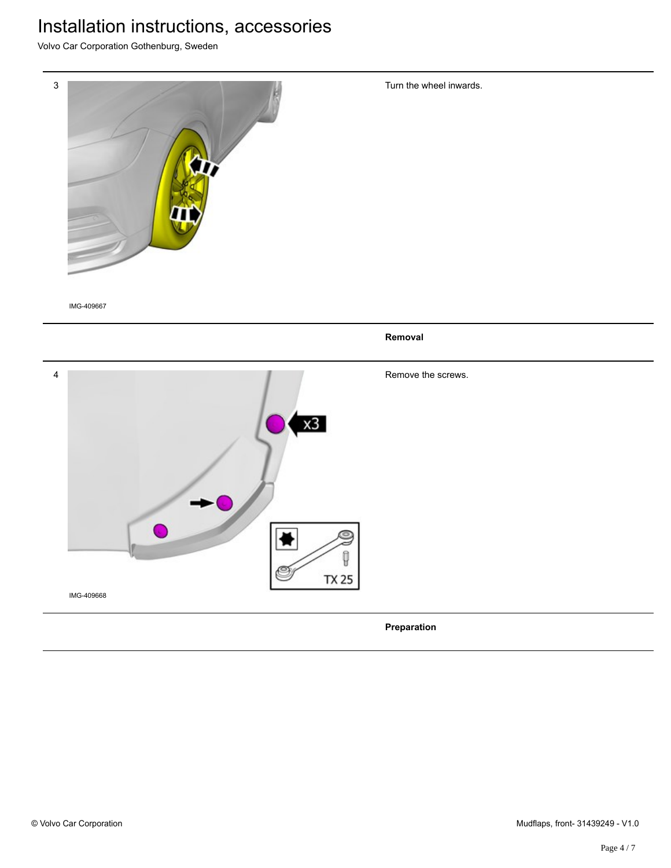Volvo Car Corporation Gothenburg, Sweden



IMG-409667

**Removal** 4 Remove the screws.  $x3$  $\rightarrow$ 9 **TX 25** IMG-409668 **Preparation**

Turn the wheel inwards.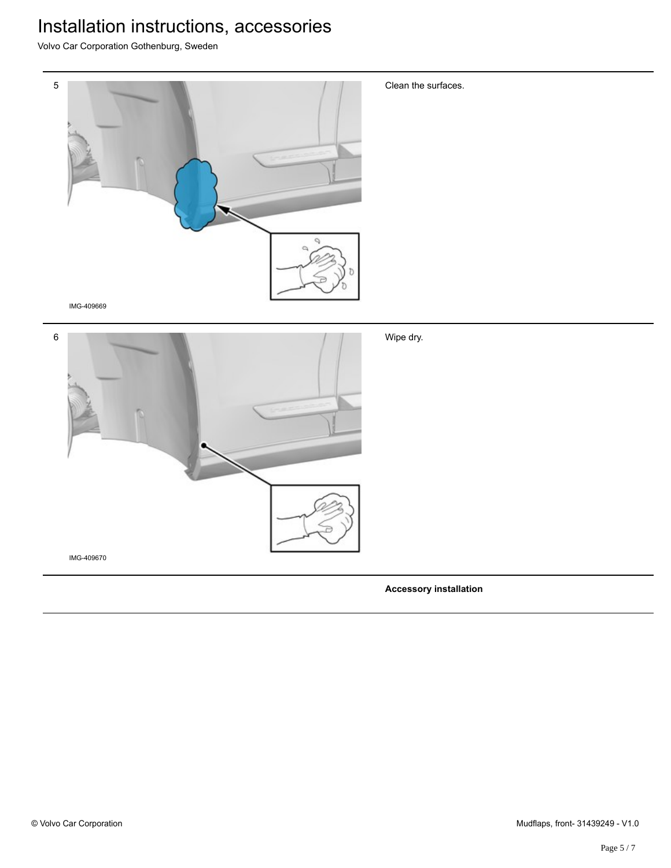Volvo Car Corporation Gothenburg, Sweden



Clean the surfaces.

IMG-409669



**Accessory installation**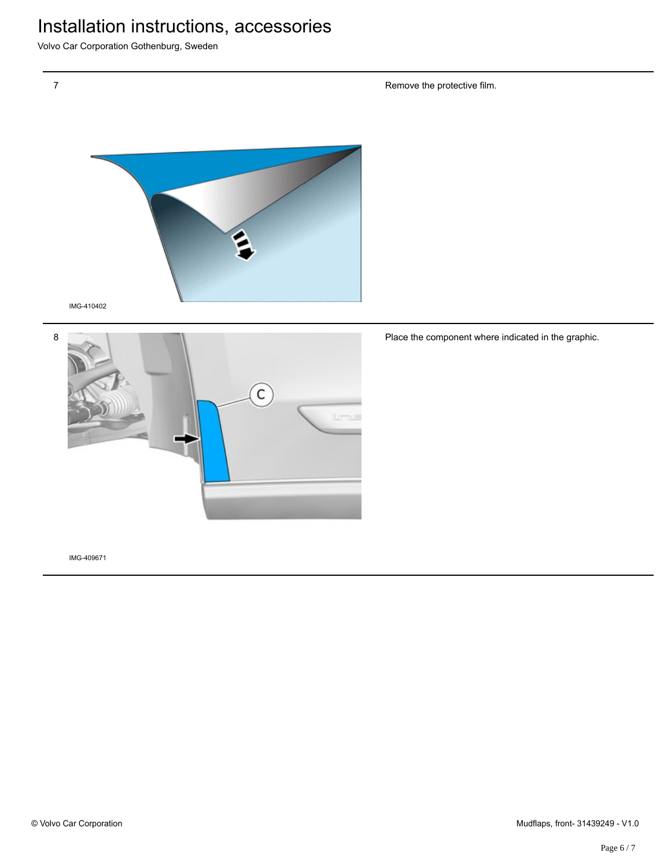Volvo Car Corporation Gothenburg, Sweden





Place the component where indicated in the graphic.

IMG-409671